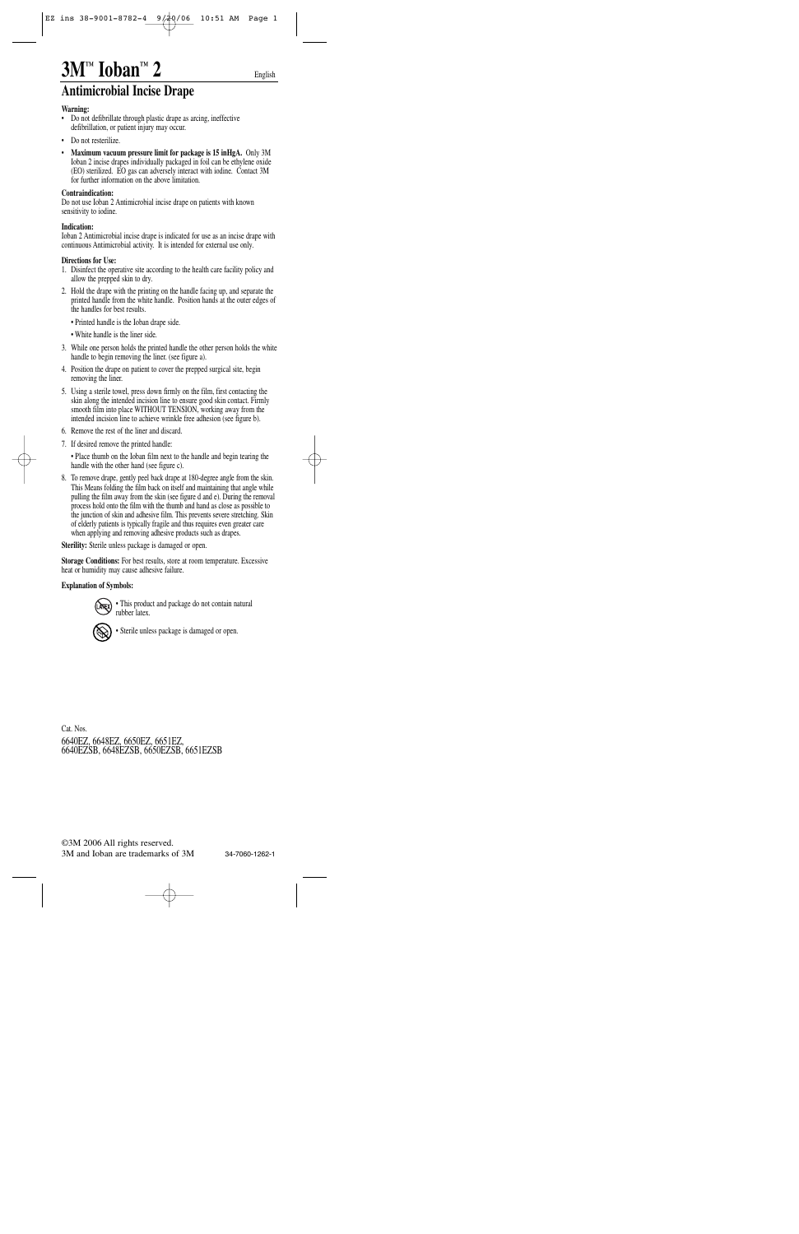# **3M™ Ioban™ 2**

### **Antimicrobial Incise Drape**

#### **Warning:**

- Do not defibrillate through plastic drape as arcing, ineffective defibrillation, or patient injury may occur.
- Do not resterilize.
- **Maximum vacuum pressure limit for package is 15 inHgA.** Only 3M Ioban 2 incise drapes individually packaged in foil can be ethylene oxide (EO) sterilized. EO gas can adversely interact with iodine. Contact 3M for further information on the above limitation.

#### **Contraindication:**

Do not use Ioban 2 Antimicrobial incise drape on patients with known sensitivity to iodine.

#### **Indication:**

Ioban 2 Antimicrobial incise drape is indicated for use as an incise drape with continuous Antimicrobial activity. It is intended for external use only.

### **Directions for Use:**

- 1. Disinfect the operative site according to the health care facility policy and allow the prepped skin to dry.
- 2. Hold the drape with the printing on the handle facing up, and separate the printed handle from the white handle. Position hands at the outer edges of the handles for best results.
- Printed handle is the Ioban drape side.
- White handle is the liner side.
- 3. While one person holds the printed handle the other person holds the white handle to begin removing the liner. (see figure a).
- 4. Position the drape on patient to cover the prepped surgical site, begin removing the liner.
- 5. Using a sterile towel, press down firmly on the film, first contacting the skin along the intended incision line to ensure good skin contact. Firmly smooth film into place WITHOUT TENSION, working away from the intended incision line to achieve wrinkle free adhesion (see figure b).
- 6. Remove the rest of the liner and discard.
- 7. If desired remove the printed handle:

• This product and package do not contain natural<br>mbher latex rubber latex.

• Place thumb on the Ioban film next to the handle and begin tearing the handle with the other hand (see figure c).

8. To remove drape, gently peel back drape at 180-degree angle from the skin. This Means folding the film back on itself and maintaining that angle while pulling the film away from the skin (see figure d and e). During the removal process hold onto the film with the thumb and hand as close as possible to the junction of skin and adhesive film. This prevents severe stretching. Skin of elderly patients is typically fragile and thus requires even greater care when applying and removing adhesive products such as drapes.

**Sterility:** Sterile unless package is damaged or open.

**Storage Conditions:** For best results, store at room temperature. Excessive heat or humidity may cause adhesive failure.

**Explanation of Symbols:**



Cat. Nos. 6640EZ, 6648EZ, 6650EZ, 6651EZ, 6640EZSB, 6648EZSB, 6650EZSB, 6651EZSB

34-7060-1262-1

English

©3M 2006 All rights reserved. 3M and Ioban are trademarks of 3M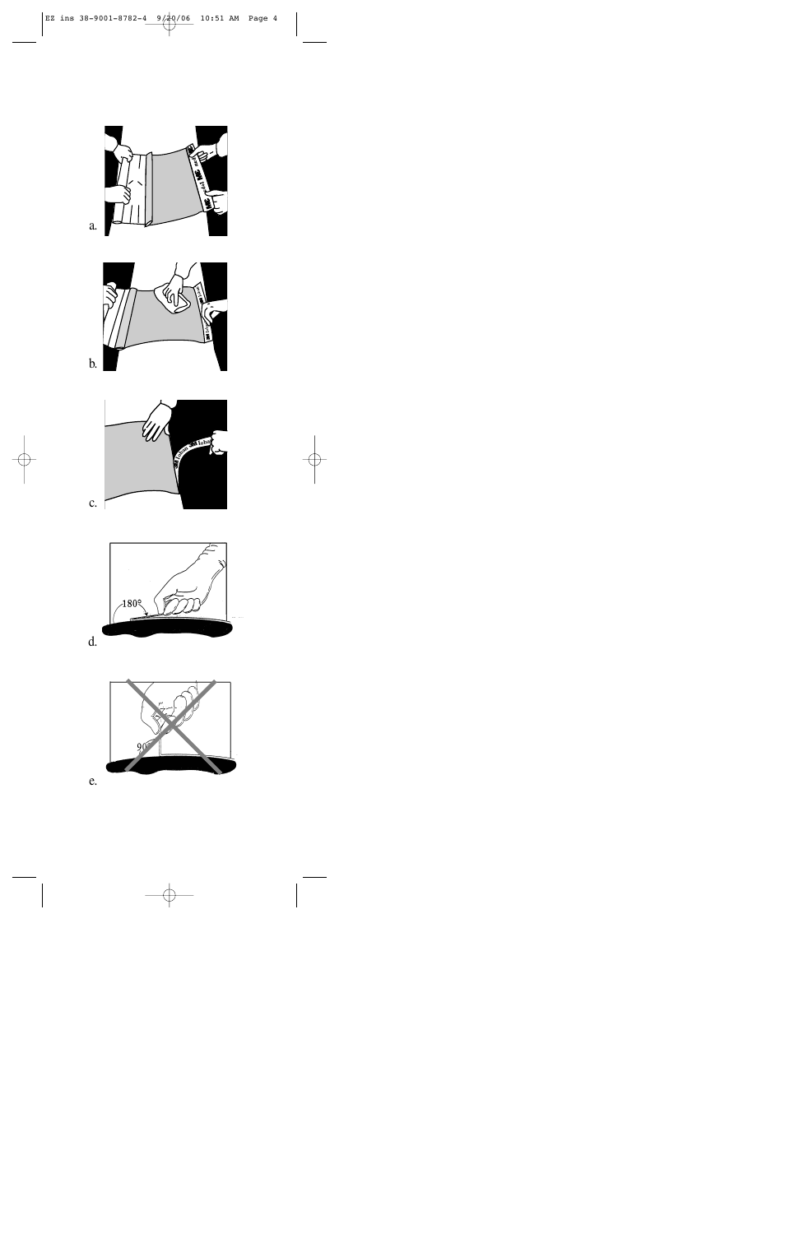